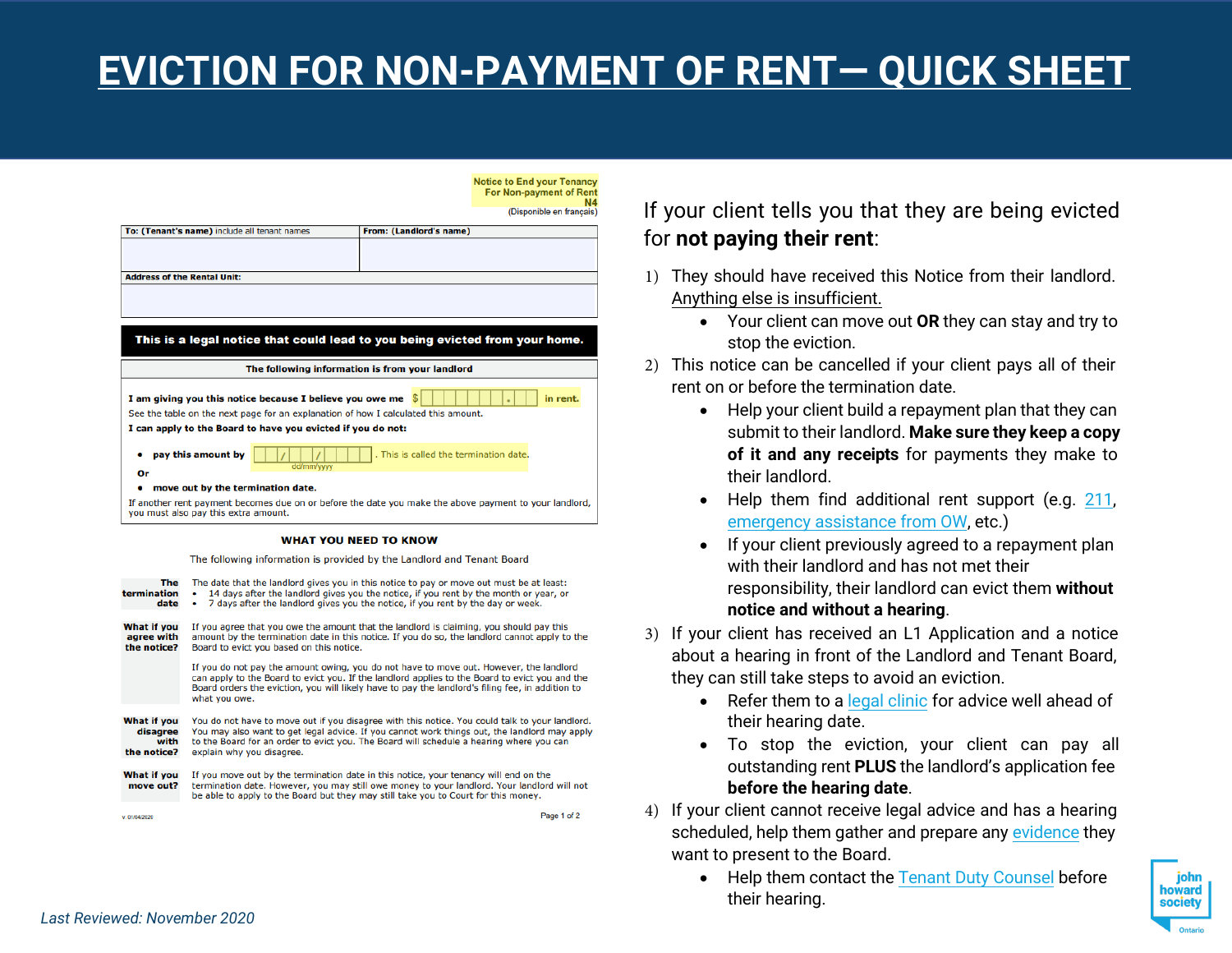## **EVICTION FOR NON-PAYMENT OF RENT— QUICK SHEET**

**Notice to End your Tenancy** For Non-payment of Rent (Disponible en francais)

| To: (Tenant's name) include all tenant names                                                                                                                                                                                | From: (Landlord's name)                                                                                |
|-----------------------------------------------------------------------------------------------------------------------------------------------------------------------------------------------------------------------------|--------------------------------------------------------------------------------------------------------|
|                                                                                                                                                                                                                             |                                                                                                        |
| <b>Address of the Rental Unit:</b>                                                                                                                                                                                          |                                                                                                        |
|                                                                                                                                                                                                                             |                                                                                                        |
|                                                                                                                                                                                                                             |                                                                                                        |
|                                                                                                                                                                                                                             |                                                                                                        |
|                                                                                                                                                                                                                             | This is a legal notice that could lead to you being evicted from your home.                            |
|                                                                                                                                                                                                                             | The following information is from your landlord                                                        |
| I am giving you this notice because I believe you owe me $\frac{1}{2}$<br>See the table on the next page for an explanation of how I calculated this amount.<br>I can apply to the Board to have you evicted if you do not: | in rent.                                                                                               |
| pay this amount by<br>۰<br>dd/mm/yyyy<br>Or                                                                                                                                                                                 | . This is called the termination date.                                                                 |
| move out by the termination date.<br>۰                                                                                                                                                                                      |                                                                                                        |
|                                                                                                                                                                                                                             | If another rent payment becomes due on or before the date you make the above payment to your landlord, |
| you must also pay this extra amount.                                                                                                                                                                                        |                                                                                                        |
|                                                                                                                                                                                                                             | <b>WHAT YOU NEED TO KNOW</b>                                                                           |

| <b>The</b><br>termination<br>date              | The date that the landlord gives you in this notice to pay or move out must be at least:<br>14 days after the landlord gives you the notice, if you rent by the month or year, or<br>٠<br>7 days after the landlord gives you the notice, if you rent by the day or week.<br>٠                                         |
|------------------------------------------------|------------------------------------------------------------------------------------------------------------------------------------------------------------------------------------------------------------------------------------------------------------------------------------------------------------------------|
| What if you<br>agree with<br>the notice?       | If you agree that you owe the amount that the landlord is claiming, you should pay this<br>amount by the termination date in this notice. If you do so, the landlord cannot apply to the<br>Board to evict you based on this notice.                                                                                   |
|                                                | If you do not pay the amount owing, you do not have to move out. However, the landlord<br>can apply to the Board to evict you. If the landlord applies to the Board to evict you and the<br>Board orders the eviction, you will likely have to pay the landlord's filing fee, in addition to<br>what you owe.          |
| What if you<br>disagree<br>with<br>the notice? | You do not have to move out if you disagree with this notice. You could talk to your landlord.<br>You may also want to get legal advice. If you cannot work things out, the landlord may apply<br>to the Board for an order to evict you. The Board will schedule a hearing where you can<br>explain why you disagree. |
| What if you<br>move out?                       | If you move out by the termination date in this notice, your tenancy will end on the<br>termination date. However, you may still owe money to your landlord. Your landlord will not<br>be able to apply to the Board but they may still take you to Court for this money.                                              |
| v. 01/04/2020                                  | Page 1 of 2                                                                                                                                                                                                                                                                                                            |

### If your client tells you that they are being evicted for **not paying their rent**:

- 1) They should have received this Notice from their landlord. Anything else is insufficient.
	- Your client can move out **OR** they can stay and try to stop the eviction.
- 2) This notice can be cancelled if your client pays all of their rent on or before the termination date.
	- Help your client build a repayment plan that they can submit to their landlord. **Make sure they keep a copy of it and any receipts** for payments they make to their landlord.
	- Help them find additional rent support (e.g. [211,](https://211ontario.ca/211-topics/income-support/emergency-financial-assistance/) emergency [assistance from](https://www.ontario.ca/page/apply-emergency-assistance) OW, etc.)
	- If your client previously agreed to a repayment plan with their landlord and has not met their responsibility, their landlord can evict them **without notice and without a hearing**.
- 3) If your client has received an L1 Application and a notice about a hearing in front of the Landlord and Tenant Board, they can still take steps to avoid an eviction.
	- Refer them to a legal [clinic](https://www.legalaid.on.ca/legal-clinics/) for advice well ahead of their hearing date.
	- To stop the eviction, your client can pay all outstanding rent **PLUS** the landlord's application fee **before the hearing date**.
- 4) If your client cannot receive legal advice and has a hearing scheduled, help them gather and prepare any [evidence](https://stepstojustice.ca/steps/housing-law/2-collect-evidence-present-hearing) they want to present to the Board.
	- Help them contact the Tenant Duty [Counsel](https://tdc.acto.ca/) before their hearing.

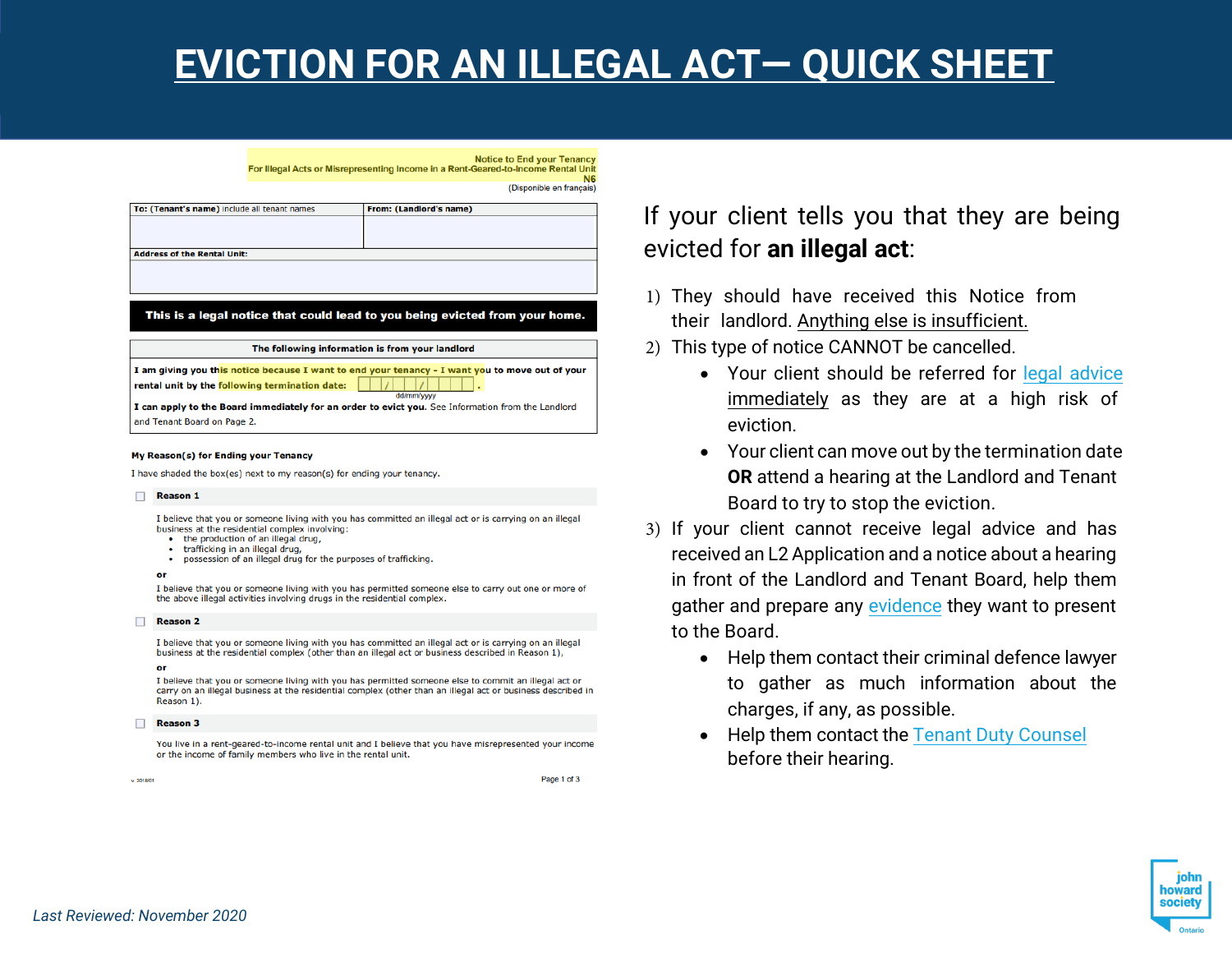## **EVICTION FOR AN ILLEGAL ACT— QUICK SHEET**

**Notice to End your Tenancy** For Illegal Acts or Misrepresenting Income in a Rent-Geared-to-Income Rental Unit **N<sub>6</sub>** 

(Disponible en français)

| To: (Tenant's name) include all tenant names   | From: (Landlord's name)                                                                           |
|------------------------------------------------|---------------------------------------------------------------------------------------------------|
|                                                |                                                                                                   |
|                                                |                                                                                                   |
| <b>Address of the Rental Unit:</b>             |                                                                                                   |
|                                                |                                                                                                   |
|                                                |                                                                                                   |
|                                                |                                                                                                   |
|                                                |                                                                                                   |
|                                                |                                                                                                   |
|                                                | This is a legal notice that could lead to you being evicted from your home.                       |
|                                                |                                                                                                   |
|                                                | The following information is from your landlord                                                   |
|                                                |                                                                                                   |
|                                                | I am giving you this notice because I want to end your tenancy - I want you to move out of your   |
| rental unit by the following termination date: | dd/mm/vvvv                                                                                        |
|                                                | I can apply to the Board immediately for an order to evict you. See Information from the Landlord |

### My Reason(s) for Ending your Tenancy

I have shaded the box(es) next to my reason(s) for ending your tenancy.

#### Reason 1

I believe that you or someone living with you has committed an illegal act or is carrying on an illegal business at the residential complex involving:

- . the production of an illegal drug,
- trafficking in an illegal drug,
- possession of an illegal drug for the purposes of trafficking.

I believe that you or someone living with you has permitted someone else to carry out one or more of the above illegal activities involving drugs in the residential complex.

#### Reason 2

I believe that you or someone living with you has committed an illegal act or is carrying on an illegal business at the residential complex (other than an illegal act or business described in Reason 1),

#### $\mathbf{a}$

I believe that you or someone living with you has permitted someone else to commit an illegal act or carry on an illegal business at the residential complex (other than an illegal act or business described in Reason 1).

#### Reason 3

You live in a rent-geared-to-income rental unit and I believe that you have misrepresented your income or the income of family members who live in the rental unit.

 $v$  2018/01

Page 1 of 3

### If your client tells you that they are being evicted for **an illegal act**:

- 1) They should have received this Notice from their landlord. Anything else is insufficient.
- 2) This type of notice CANNOT be cancelled.
	- Your client should be referred for [legal advice](https://www.legalaid.on.ca/legal-clinics/) immediately as they are at a high risk of eviction.
	- Your client can move out by the termination date **OR** attend a hearing at the Landlord and Tenant Board to try to stop the eviction.
- 3) If your client cannot receive legal advice and has received an L2 Application and a notice about a hearing in front of the Landlord and Tenant Board, help them gather and prepare any [evidence](https://stepstojustice.ca/steps/housing-law/2-collect-evidence-present-hearing) they want to present to the Board.
	- Help them contact their criminal defence lawyer to gather as much information about the charges, if any, as possible.
	- **Help them contact the Tenant [Duty Counsel](https://tdc.acto.ca/)** before their hearing.